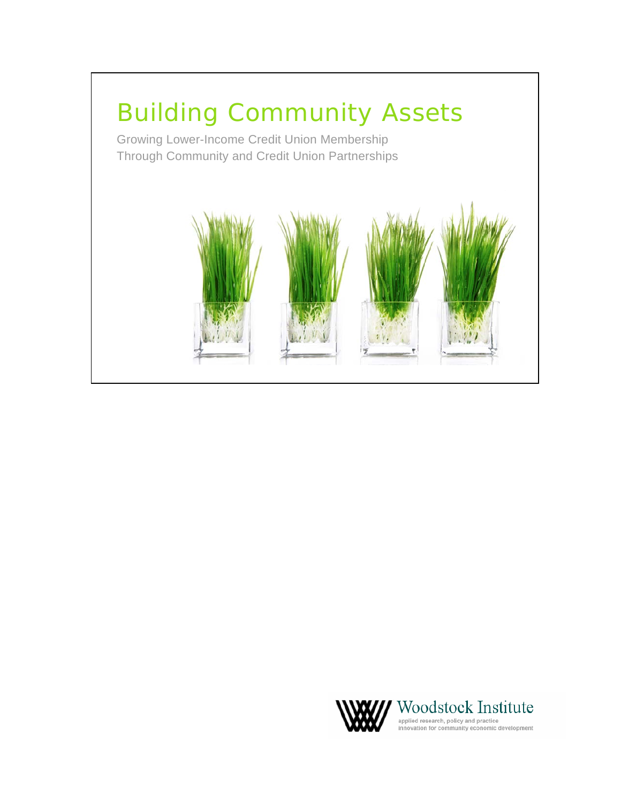

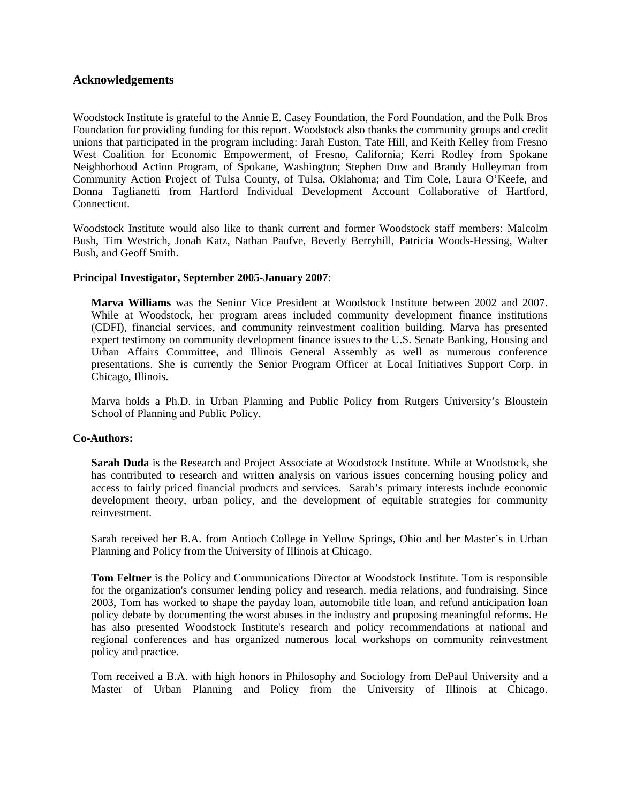# **Acknowledgements**

Woodstock Institute is grateful to the Annie E. Casey Foundation, the Ford Foundation, and the Polk Bros Foundation for providing funding for this report. Woodstock also thanks the community groups and credit unions that participated in the program including: Jarah Euston, Tate Hill, and Keith Kelley from Fresno West Coalition for Economic Empowerment, of Fresno, California; Kerri Rodley from Spokane Neighborhood Action Program, of Spokane, Washington; Stephen Dow and Brandy Holleyman from Community Action Project of Tulsa County, of Tulsa, Oklahoma; and Tim Cole, Laura O'Keefe, and Donna Taglianetti from Hartford Individual Development Account Collaborative of Hartford, Connecticut.

Woodstock Institute would also like to thank current and former Woodstock staff members: Malcolm Bush, Tim Westrich, Jonah Katz, Nathan Paufve, Beverly Berryhill, Patricia Woods-Hessing, Walter Bush, and Geoff Smith.

# **Principal Investigator, September 2005-January 2007**:

**Marva Williams** was the Senior Vice President at Woodstock Institute between 2002 and 2007. While at Woodstock, her program areas included community development finance institutions (CDFI), financial services, and community reinvestment coalition building. Marva has presented expert testimony on community development finance issues to the U.S. Senate Banking, Housing and Urban Affairs Committee, and Illinois General Assembly as well as numerous conference presentations. She is currently the Senior Program Officer at Local Initiatives Support Corp. in Chicago, Illinois.

Marva holds a Ph.D. in Urban Planning and Public Policy from Rutgers University's Bloustein School of Planning and Public Policy.

### **Co-Authors:**

**Sarah Duda** is the Research and Project Associate at Woodstock Institute. While at Woodstock, she has contributed to research and written analysis on various issues concerning housing policy and access to fairly priced financial products and services. Sarah's primary interests include economic development theory, urban policy, and the development of equitable strategies for community reinvestment.

Sarah received her B.A. from Antioch College in Yellow Springs, Ohio and her Master's in Urban Planning and Policy from the University of Illinois at Chicago.

**Tom Feltner** is the Policy and Communications Director at Woodstock Institute. Tom is responsible for the organization's consumer lending policy and research, media relations, and fundraising. Since 2003, Tom has worked to shape the payday loan, automobile title loan, and refund anticipation loan policy debate by documenting the worst abuses in the industry and proposing meaningful reforms. He has also presented Woodstock Institute's research and policy recommendations at national and regional conferences and has organized numerous local workshops on community reinvestment policy and practice.

Tom received a B.A. with high honors in Philosophy and Sociology from DePaul University and a Master of Urban Planning and Policy from the University of Illinois at Chicago.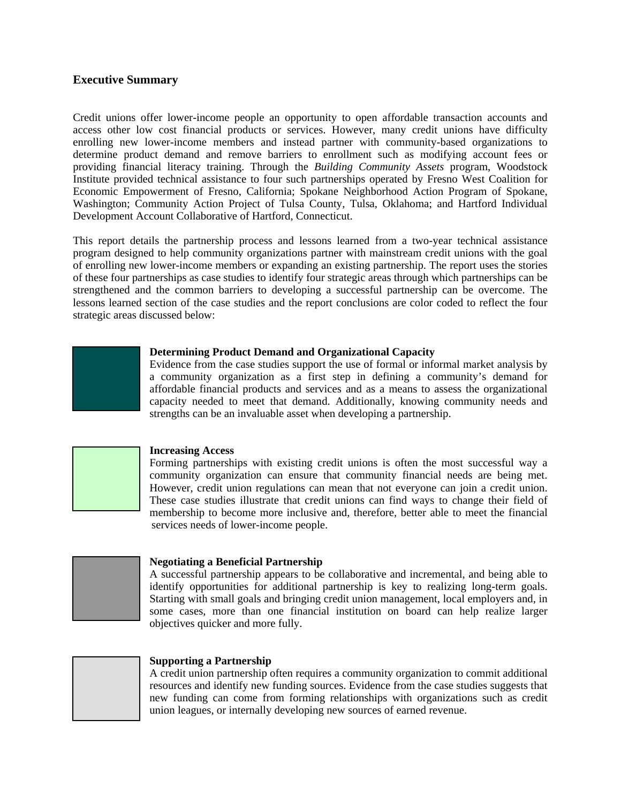# **Executive Summary**

Credit unions offer lower-income people an opportunity to open affordable transaction accounts and access other low cost financial products or services. However, many credit unions have difficulty enrolling new lower-income members and instead partner with community-based organizations to determine product demand and remove barriers to enrollment such as modifying account fees or providing financial literacy training. Through the *Building Community Assets* program, Woodstock Institute provided technical assistance to four such partnerships operated by Fresno West Coalition for Economic Empowerment of Fresno, California; Spokane Neighborhood Action Program of Spokane, Washington; Community Action Project of Tulsa County, Tulsa, Oklahoma; and Hartford Individual Development Account Collaborative of Hartford, Connecticut.

This report details the partnership process and lessons learned from a two-year technical assistance program designed to help community organizations partner with mainstream credit unions with the goal of enrolling new lower-income members or expanding an existing partnership. The report uses the stories of these four partnerships as case studies to identify four strategic areas through which partnerships can be strengthened and the common barriers to developing a successful partnership can be overcome. The lessons learned section of the case studies and the report conclusions are color coded to reflect the four strategic areas discussed below:

### **Determining Product Demand and Organizational Capacity**

Evidence from the case studies support the use of formal or informal market analysis by a community organization as a first step in defining a community's demand for affordable financial products and services and as a means to assess the organizational capacity needed to meet that demand. Additionally, knowing community needs and strengths can be an invaluable asset when developing a partnership.

# **Increasing Access**

Forming partnerships with existing credit unions is often the most successful way a community organization can ensure that community financial needs are being met. However, credit union regulations can mean that not everyone can join a credit union. These case studies illustrate that credit unions can find ways to change their field of membership to become more inclusive and, therefore, better able to meet the financial services needs of lower-income people.



### **Negotiating a Beneficial Partnership**

A successful partnership appears to be collaborative and incremental, and being able to identify opportunities for additional partnership is key to realizing long-term goals. Starting with small goals and bringing credit union management, local employers and, in some cases, more than one financial institution on board can help realize larger objectives quicker and more fully.



### **Supporting a Partnership**

A credit union partnership often requires a community organization to commit additional resources and identify new funding sources. Evidence from the case studies suggests that new funding can come from forming relationships with organizations such as credit union leagues, or internally developing new sources of earned revenue.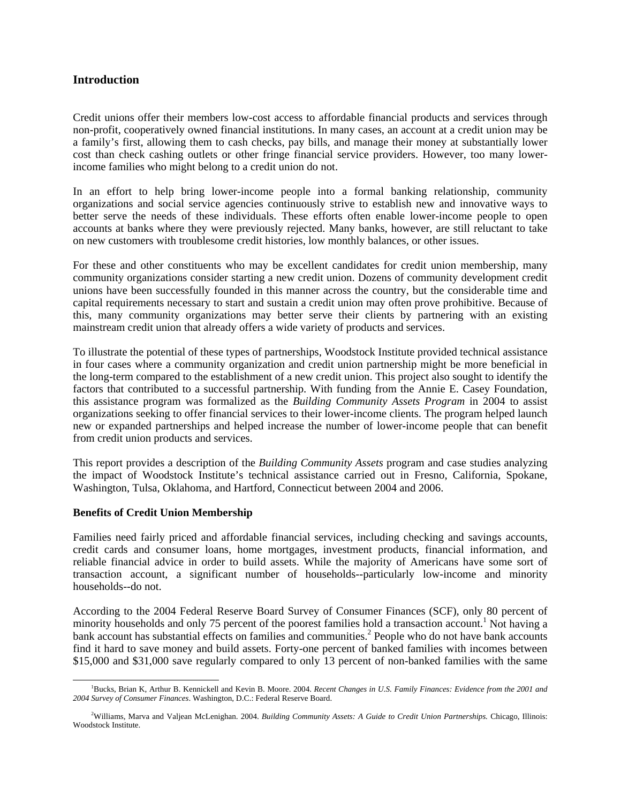# **Introduction**

Credit unions offer their members low-cost access to affordable financial products and services through non-profit, cooperatively owned financial institutions. In many cases, an account at a credit union may be a family's first, allowing them to cash checks, pay bills, and manage their money at substantially lower cost than check cashing outlets or other fringe financial service providers. However, too many lowerincome families who might belong to a credit union do not.

In an effort to help bring lower-income people into a formal banking relationship, community organizations and social service agencies continuously strive to establish new and innovative ways to better serve the needs of these individuals. These efforts often enable lower-income people to open accounts at banks where they were previously rejected. Many banks, however, are still reluctant to take on new customers with troublesome credit histories, low monthly balances, or other issues.

For these and other constituents who may be excellent candidates for credit union membership, many community organizations consider starting a new credit union. Dozens of community development credit unions have been successfully founded in this manner across the country, but the considerable time and capital requirements necessary to start and sustain a credit union may often prove prohibitive. Because of this, many community organizations may better serve their clients by partnering with an existing mainstream credit union that already offers a wide variety of products and services.

To illustrate the potential of these types of partnerships, Woodstock Institute provided technical assistance in four cases where a community organization and credit union partnership might be more beneficial in the long-term compared to the establishment of a new credit union. This project also sought to identify the factors that contributed to a successful partnership. With funding from the Annie E. Casey Foundation, this assistance program was formalized as the *Building Community Assets Program* in 2004 to assist organizations seeking to offer financial services to their lower-income clients. The program helped launch new or expanded partnerships and helped increase the number of lower-income people that can benefit from credit union products and services.

This report provides a description of the *Building Community Assets* program and case studies analyzing the impact of Woodstock Institute's technical assistance carried out in Fresno, California, Spokane, Washington, Tulsa, Oklahoma, and Hartford, Connecticut between 2004 and 2006.

### **Benefits of Credit Union Membership**

Families need fairly priced and affordable financial services, including checking and savings accounts, credit cards and consumer loans, home mortgages, investment products, financial information, and reliable financial advice in order to build assets. While the majority of Americans have some sort of transaction account, a significant number of households--particularly low-income and minority households--do not.

According to the 2004 Federal Reserve Board Survey of Consumer Finances (SCF), only 80 percent of minority households and only 75 percent of the poorest families hold a transaction account.<sup>1</sup> Not having a bank account has substantial effects on families and communities.<sup>2</sup> People who do not have bank accounts find it hard to save money and build assets. Forty-one percent of banked families with incomes between \$15,000 and \$31,000 save regularly compared to only 13 percent of non-banked families with the same

<sup>&</sup>lt;sup>1</sup> <sup>1</sup>Bucks, Brian K, Arthur B. Kennickell and Kevin B. Moore. 2004. Recent Changes in U.S. Family Finances: Evidence from the 2001 and *2004 Survey of Consumer Finances*. Washington, D.C.: Federal Reserve Board.

<sup>2</sup> Williams, Marva and Valjean McLenighan. 2004. *Building Community Assets: A Guide to Credit Union Partnerships.* Chicago, Illinois: Woodstock Institute.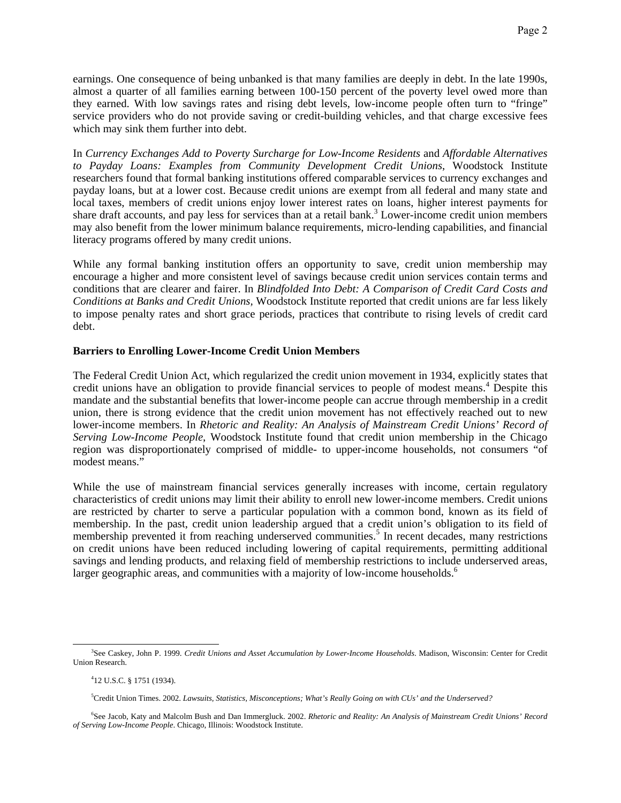earnings. One consequence of being unbanked is that many families are deeply in debt. In the late 1990s, almost a quarter of all families earning between 100-150 percent of the poverty level owed more than they earned. With low savings rates and rising debt levels, low-income people often turn to "fringe" service providers who do not provide saving or credit-building vehicles, and that charge excessive fees which may sink them further into debt.

In *Currency Exchanges Add to Poverty Surcharge for Low-Income Residents* and *Affordable Alternatives to Payday Loans: Examples from Community Development Credit Unions*, Woodstock Institute researchers found that formal banking institutions offered comparable services to currency exchanges and payday loans, but at a lower cost. Because credit unions are exempt from all federal and many state and local taxes, members of credit unions enjoy lower interest rates on loans, higher interest payments for share draft accounts, and pay less for services than at a retail bank.<sup>3</sup> Lower-income credit union members may also benefit from the lower minimum balance requirements, micro-lending capabilities, and financial literacy programs offered by many credit unions.

While any formal banking institution offers an opportunity to save, credit union membership may encourage a higher and more consistent level of savings because credit union services contain terms and conditions that are clearer and fairer. In *Blindfolded Into Debt: A Comparison of Credit Card Costs and Conditions at Banks and Credit Unions,* Woodstock Institute reported that credit unions are far less likely to impose penalty rates and short grace periods, practices that contribute to rising levels of credit card debt.

# **Barriers to Enrolling Lower-Income Credit Union Members**

The Federal Credit Union Act, which regularized the credit union movement in 1934, explicitly states that credit unions have an obligation to provide financial services to people of modest means.<sup>4</sup> Despite this mandate and the substantial benefits that lower-income people can accrue through membership in a credit union, there is strong evidence that the credit union movement has not effectively reached out to new lower-income members. In *Rhetoric and Reality: An Analysis of Mainstream Credit Unions' Record of Serving Low-Income People*, Woodstock Institute found that credit union membership in the Chicago region was disproportionately comprised of middle- to upper-income households, not consumers "of modest means."

While the use of mainstream financial services generally increases with income, certain regulatory characteristics of credit unions may limit their ability to enroll new lower-income members. Credit unions are restricted by charter to serve a particular population with a common bond, known as its field of membership. In the past, credit union leadership argued that a credit union's obligation to its field of membership prevented it from reaching underserved communities.<sup>5</sup> In recent decades, many restrictions on credit unions have been reduced including lowering of capital requirements, permitting additional savings and lending products, and relaxing field of membership restrictions to include underserved areas, larger geographic areas, and communities with a majority of low-income households.<sup>6</sup>

 $\frac{1}{3}$ See Caskey, John P. 1999. *Credit Unions and Asset Accumulation by Lower-Income Households*. Madison, Wisconsin: Center for Credit Union Research.

<sup>4</sup> 12 U.S.C. § 1751 (1934).

<sup>5</sup> Credit Union Times. 2002. *Lawsuits, Statistics, Misconceptions; What's Really Going on with CUs' and the Underserved?* 

<sup>6</sup> See Jacob, Katy and Malcolm Bush and Dan Immergluck. 2002. *Rhetoric and Reality: An Analysis of Mainstream Credit Unions' Record of Serving Low-Income People*. Chicago, Illinois: Woodstock Institute.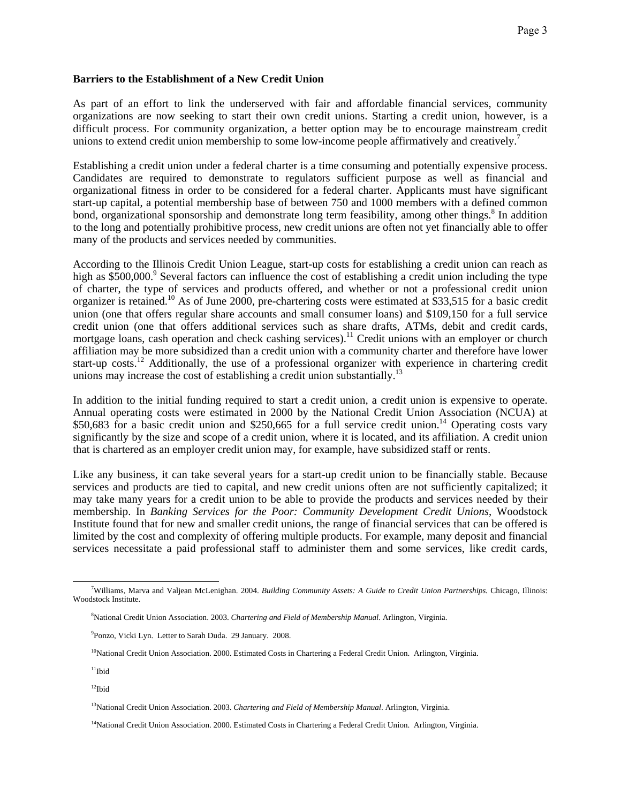### **Barriers to the Establishment of a New Credit Union**

As part of an effort to link the underserved with fair and affordable financial services, community organizations are now seeking to start their own credit unions. Starting a credit union, however, is a difficult process. For community organization, a better option may be to encourage mainstream credit unions to extend credit union membership to some low-income people affirmatively and creatively.<sup>7</sup>

Establishing a credit union under a federal charter is a time consuming and potentially expensive process. Candidates are required to demonstrate to regulators sufficient purpose as well as financial and organizational fitness in order to be considered for a federal charter. Applicants must have significant start-up capital, a potential membership base of between 750 and 1000 members with a defined common bond, organizational sponsorship and demonstrate long term feasibility, among other things.<sup>8</sup> In addition to the long and potentially prohibitive process, new credit unions are often not yet financially able to offer many of the products and services needed by communities.

According to the Illinois Credit Union League, start-up costs for establishing a credit union can reach as high as \$500,000.<sup>9</sup> Several factors can influence the cost of establishing a credit union including the type of charter, the type of services and products offered, and whether or not a professional credit union organizer is retained.10 As of June 2000, pre-chartering costs were estimated at \$33,515 for a basic credit union (one that offers regular share accounts and small consumer loans) and \$109,150 for a full service credit union (one that offers additional services such as share drafts, ATMs, debit and credit cards, mortgage loans, cash operation and check cashing services).<sup>11</sup> Credit unions with an employer or church affiliation may be more subsidized than a credit union with a community charter and therefore have lower start-up costs.<sup>12</sup> Additionally, the use of a professional organizer with experience in chartering credit unions may increase the cost of establishing a credit union substantially.<sup>13</sup>

In addition to the initial funding required to start a credit union, a credit union is expensive to operate. Annual operating costs were estimated in 2000 by the National Credit Union Association (NCUA) at \$50,683 for a basic credit union and \$250,665 for a full service credit union.<sup>14</sup> Operating costs vary significantly by the size and scope of a credit union, where it is located, and its affiliation. A credit union that is chartered as an employer credit union may, for example, have subsidized staff or rents.

Like any business, it can take several years for a start-up credit union to be financially stable. Because services and products are tied to capital, and new credit unions often are not sufficiently capitalized; it may take many years for a credit union to be able to provide the products and services needed by their membership. In *Banking Services for the Poor: Community Development Credit Unions*, Woodstock Institute found that for new and smaller credit unions, the range of financial services that can be offered is limited by the cost and complexity of offering multiple products. For example, many deposit and financial services necessitate a paid professional staff to administer them and some services, like credit cards,

 $\frac{1}{7}$ Williams, Marva and Valjean McLenighan. 2004. *Building Community Assets: A Guide to Credit Union Partnerships.* Chicago, Illinois: Woodstock Institute.

<sup>8</sup> National Credit Union Association. 2003. *Chartering and Field of Membership Manual*. Arlington, Virginia.

<sup>9</sup> Ponzo, Vicki Lyn. Letter to Sarah Duda. 29 January. 2008.

<sup>&</sup>lt;sup>10</sup>National Credit Union Association. 2000. Estimated Costs in Chartering a Federal Credit Union. Arlington, Virginia.

 $11$ Ibid  $12$ Ibid

<sup>13</sup>National Credit Union Association. 2003. *Chartering and Field of Membership Manual*. Arlington, Virginia.

<sup>&</sup>lt;sup>14</sup>National Credit Union Association. 2000. Estimated Costs in Chartering a Federal Credit Union. Arlington, Virginia.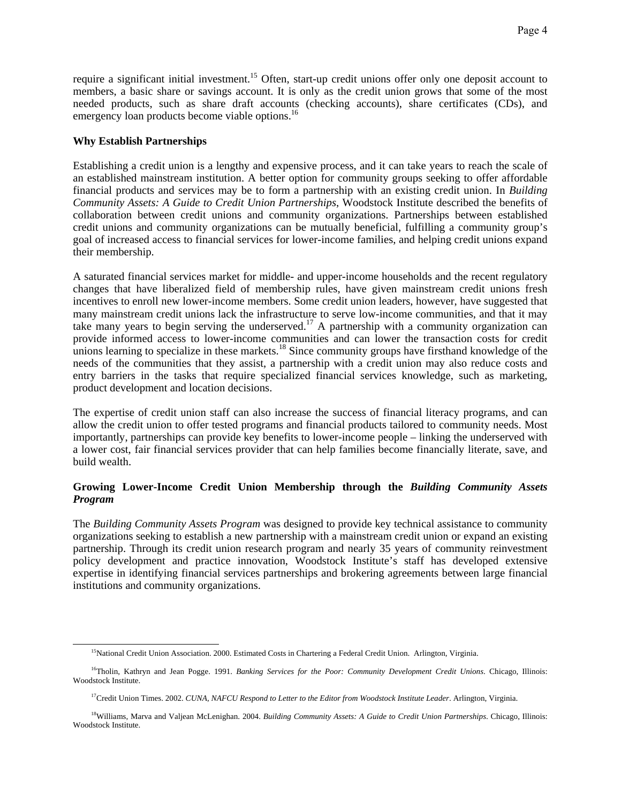require a significant initial investment.<sup>15</sup> Often, start-up credit unions offer only one deposit account to members, a basic share or savings account. It is only as the credit union grows that some of the most needed products, such as share draft accounts (checking accounts), share certificates (CDs), and emergency loan products become viable options.<sup>16</sup>

### **Why Establish Partnerships**

Establishing a credit union is a lengthy and expensive process, and it can take years to reach the scale of an established mainstream institution. A better option for community groups seeking to offer affordable financial products and services may be to form a partnership with an existing credit union. In *Building Community Assets: A Guide to Credit Union Partnerships*, Woodstock Institute described the benefits of collaboration between credit unions and community organizations. Partnerships between established credit unions and community organizations can be mutually beneficial, fulfilling a community group's goal of increased access to financial services for lower-income families, and helping credit unions expand their membership.

A saturated financial services market for middle- and upper-income households and the recent regulatory changes that have liberalized field of membership rules, have given mainstream credit unions fresh incentives to enroll new lower-income members. Some credit union leaders, however, have suggested that many mainstream credit unions lack the infrastructure to serve low-income communities, and that it may take many years to begin serving the underserved.<sup>17</sup> A partnership with a community organization can provide informed access to lower-income communities and can lower the transaction costs for credit unions learning to specialize in these markets.<sup>18</sup> Since community groups have firsthand knowledge of the needs of the communities that they assist, a partnership with a credit union may also reduce costs and entry barriers in the tasks that require specialized financial services knowledge, such as marketing, product development and location decisions.

The expertise of credit union staff can also increase the success of financial literacy programs, and can allow the credit union to offer tested programs and financial products tailored to community needs. Most importantly, partnerships can provide key benefits to lower-income people – linking the underserved with a lower cost, fair financial services provider that can help families become financially literate, save, and build wealth.

# **Growing Lower-Income Credit Union Membership through the** *Building Community Assets Program*

The *Building Community Assets Program* was designed to provide key technical assistance to community organizations seeking to establish a new partnership with a mainstream credit union or expand an existing partnership. Through its credit union research program and nearly 35 years of community reinvestment policy development and practice innovation, Woodstock Institute's staff has developed extensive expertise in identifying financial services partnerships and brokering agreements between large financial institutions and community organizations.

<sup>&</sup>lt;sup>15</sup>National Credit Union Association. 2000. Estimated Costs in Chartering a Federal Credit Union. Arlington, Virginia.

<sup>16</sup>Tholin, Kathryn and Jean Pogge. 1991. *Banking Services for the Poor: Community Development Credit Unions*. Chicago, Illinois: Woodstock Institute.

<sup>&</sup>lt;sup>17</sup>Credit Union Times. 2002. *CUNA, NAFCU Respond to Letter to the Editor from Woodstock Institute Leader*. Arlington, Virginia.

<sup>18</sup>Williams, Marva and Valjean McLenighan. 2004. *Building Community Assets: A Guide to Credit Union Partnerships*. Chicago, Illinois: Woodstock Institute.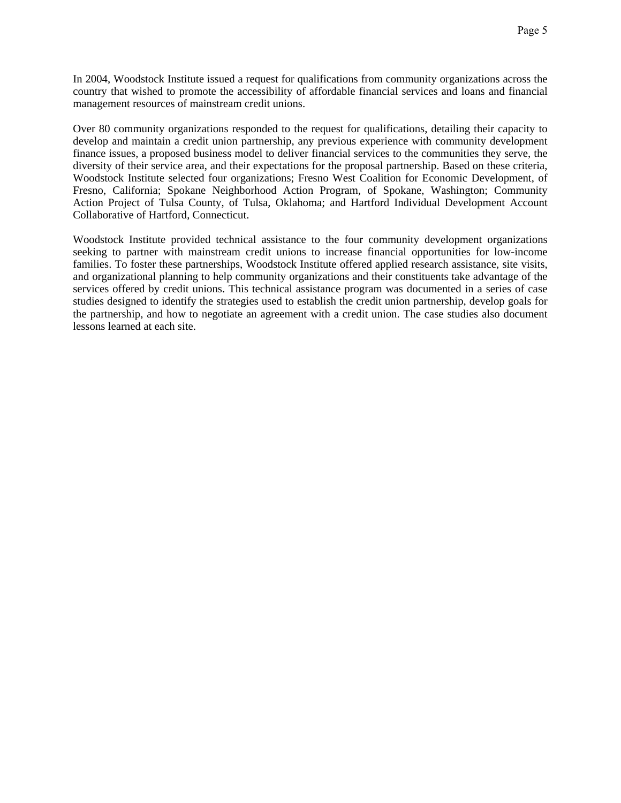In 2004, Woodstock Institute issued a request for qualifications from community organizations across the country that wished to promote the accessibility of affordable financial services and loans and financial management resources of mainstream credit unions.

Over 80 community organizations responded to the request for qualifications, detailing their capacity to develop and maintain a credit union partnership, any previous experience with community development finance issues, a proposed business model to deliver financial services to the communities they serve, the diversity of their service area, and their expectations for the proposal partnership. Based on these criteria, Woodstock Institute selected four organizations; Fresno West Coalition for Economic Development, of Fresno, California; Spokane Neighborhood Action Program, of Spokane, Washington; Community Action Project of Tulsa County, of Tulsa, Oklahoma; and Hartford Individual Development Account Collaborative of Hartford, Connecticut.

Woodstock Institute provided technical assistance to the four community development organizations seeking to partner with mainstream credit unions to increase financial opportunities for low-income families. To foster these partnerships, Woodstock Institute offered applied research assistance, site visits, and organizational planning to help community organizations and their constituents take advantage of the services offered by credit unions. This technical assistance program was documented in a series of case studies designed to identify the strategies used to establish the credit union partnership, develop goals for the partnership, and how to negotiate an agreement with a credit union. The case studies also document lessons learned at each site.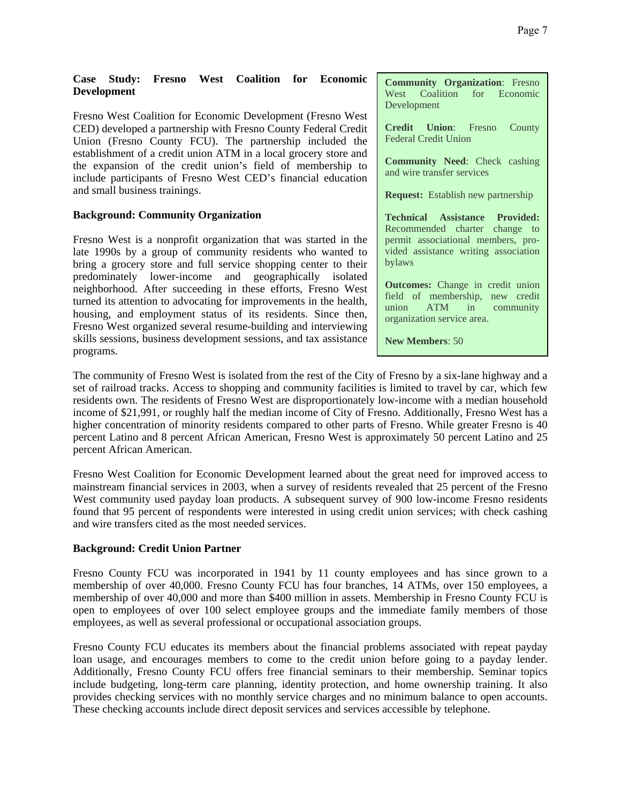# **Case Study: Fresno West Coalition for Economic Development**

Fresno West Coalition for Economic Development (Fresno West CED) developed a partnership with Fresno County Federal Credit Union (Fresno County FCU). The partnership included the establishment of a credit union ATM in a local grocery store and the expansion of the credit union's field of membership to include participants of Fresno West CED's financial education and small business trainings.

# **Background: Community Organization**

Fresno West is a nonprofit organization that was started in the late 1990s by a group of community residents who wanted to bring a grocery store and full service shopping center to their predominately lower-income and geographically isolated neighborhood. After succeeding in these efforts, Fresno West turned its attention to advocating for improvements in the health, housing, and employment status of its residents. Since then, Fresno West organized several resume-building and interviewing skills sessions, business development sessions, and tax assistance programs.

**Community Organization**: Fresno West Coalition for Economic Development

**Credit Union**: Fresno County Federal Credit Union

**Community Need**: Check cashing and wire transfer services

**Request:** Establish new partnership

**Technical Assistance Provided:**  Recommended charter change to permit associational members, provided assistance writing association bylaws

**Outcomes:** Change in credit union field of membership, new credit union ATM in community organization service area.

**New Members**: 50

The community of Fresno West is isolated from the rest of the City of Fresno by a six-lane highway and a set of railroad tracks. Access to shopping and community facilities is limited to travel by car, which few residents own. The residents of Fresno West are disproportionately low-income with a median household income of \$21,991, or roughly half the median income of City of Fresno. Additionally, Fresno West has a higher concentration of minority residents compared to other parts of Fresno. While greater Fresno is 40 percent Latino and 8 percent African American, Fresno West is approximately 50 percent Latino and 25 percent African American.

Fresno West Coalition for Economic Development learned about the great need for improved access to mainstream financial services in 2003, when a survey of residents revealed that 25 percent of the Fresno West community used payday loan products. A subsequent survey of 900 low-income Fresno residents found that 95 percent of respondents were interested in using credit union services; with check cashing and wire transfers cited as the most needed services.

# **Background: Credit Union Partner**

Fresno County FCU was incorporated in 1941 by 11 county employees and has since grown to a membership of over 40,000. Fresno County FCU has four branches, 14 ATMs, over 150 employees, a membership of over 40,000 and more than \$400 million in assets. Membership in Fresno County FCU is open to employees of over 100 select employee groups and the immediate family members of those employees, as well as several professional or occupational association groups.

Fresno County FCU educates its members about the financial problems associated with repeat payday loan usage, and encourages members to come to the credit union before going to a payday lender. Additionally, Fresno County FCU offers free financial seminars to their membership. Seminar topics include budgeting, long-term care planning, identity protection, and home ownership training. It also provides checking services with no monthly service charges and no minimum balance to open accounts. These checking accounts include direct deposit services and services accessible by telephone.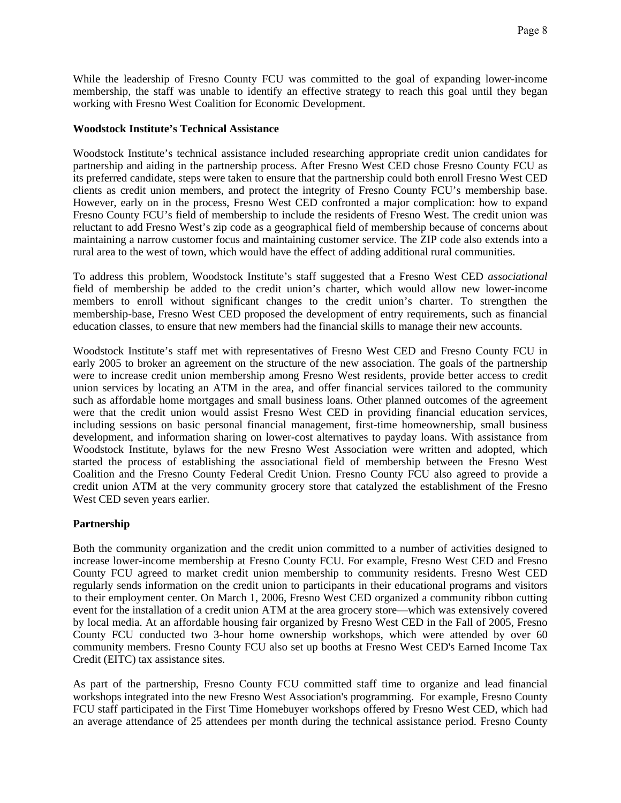While the leadership of Fresno County FCU was committed to the goal of expanding lower-income membership, the staff was unable to identify an effective strategy to reach this goal until they began working with Fresno West Coalition for Economic Development.

# **Woodstock Institute's Technical Assistance**

Woodstock Institute's technical assistance included researching appropriate credit union candidates for partnership and aiding in the partnership process. After Fresno West CED chose Fresno County FCU as its preferred candidate, steps were taken to ensure that the partnership could both enroll Fresno West CED clients as credit union members, and protect the integrity of Fresno County FCU's membership base. However, early on in the process, Fresno West CED confronted a major complication: how to expand Fresno County FCU's field of membership to include the residents of Fresno West. The credit union was reluctant to add Fresno West's zip code as a geographical field of membership because of concerns about maintaining a narrow customer focus and maintaining customer service. The ZIP code also extends into a rural area to the west of town, which would have the effect of adding additional rural communities.

To address this problem, Woodstock Institute's staff suggested that a Fresno West CED *associational* field of membership be added to the credit union's charter, which would allow new lower-income members to enroll without significant changes to the credit union's charter. To strengthen the membership-base, Fresno West CED proposed the development of entry requirements, such as financial education classes, to ensure that new members had the financial skills to manage their new accounts.

Woodstock Institute's staff met with representatives of Fresno West CED and Fresno County FCU in early 2005 to broker an agreement on the structure of the new association. The goals of the partnership were to increase credit union membership among Fresno West residents, provide better access to credit union services by locating an ATM in the area, and offer financial services tailored to the community such as affordable home mortgages and small business loans. Other planned outcomes of the agreement were that the credit union would assist Fresno West CED in providing financial education services, including sessions on basic personal financial management, first-time homeownership, small business development, and information sharing on lower-cost alternatives to payday loans. With assistance from Woodstock Institute, bylaws for the new Fresno West Association were written and adopted, which started the process of establishing the associational field of membership between the Fresno West Coalition and the Fresno County Federal Credit Union. Fresno County FCU also agreed to provide a credit union ATM at the very community grocery store that catalyzed the establishment of the Fresno West CED seven years earlier.

# **Partnership**

Both the community organization and the credit union committed to a number of activities designed to increase lower-income membership at Fresno County FCU. For example, Fresno West CED and Fresno County FCU agreed to market credit union membership to community residents. Fresno West CED regularly sends information on the credit union to participants in their educational programs and visitors to their employment center. On March 1, 2006, Fresno West CED organized a community ribbon cutting event for the installation of a credit union ATM at the area grocery store—which was extensively covered by local media. At an affordable housing fair organized by Fresno West CED in the Fall of 2005, Fresno County FCU conducted two 3-hour home ownership workshops, which were attended by over 60 community members. Fresno County FCU also set up booths at Fresno West CED's Earned Income Tax Credit (EITC) tax assistance sites.

As part of the partnership, Fresno County FCU committed staff time to organize and lead financial workshops integrated into the new Fresno West Association's programming. For example, Fresno County FCU staff participated in the First Time Homebuyer workshops offered by Fresno West CED, which had an average attendance of 25 attendees per month during the technical assistance period. Fresno County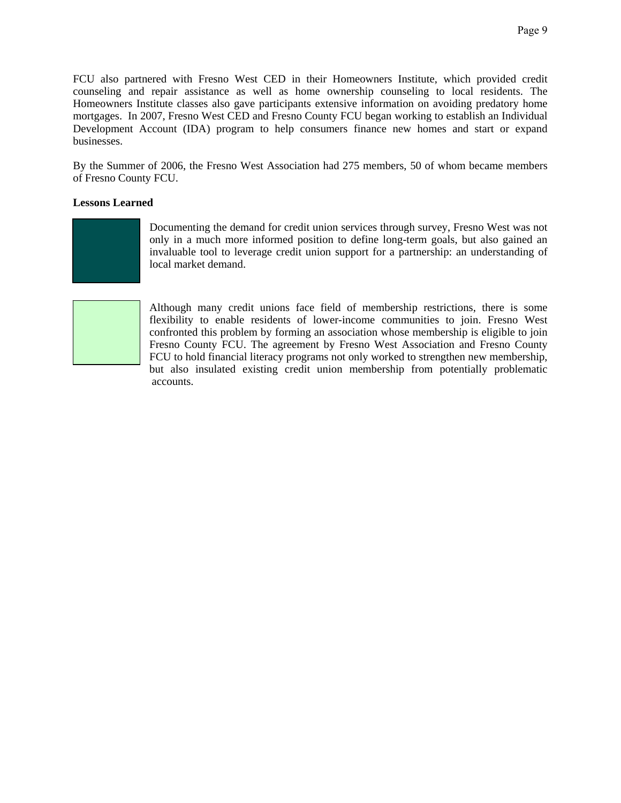FCU also partnered with Fresno West CED in their Homeowners Institute, which provided credit counseling and repair assistance as well as home ownership counseling to local residents. The Homeowners Institute classes also gave participants extensive information on avoiding predatory home mortgages. In 2007, Fresno West CED and Fresno County FCU began working to establish an Individual Development Account (IDA) program to help consumers finance new homes and start or expand businesses.

By the Summer of 2006, the Fresno West Association had 275 members, 50 of whom became members of Fresno County FCU.

# **Lessons Learned**



Documenting the demand for credit union services through survey, Fresno West was not only in a much more informed position to define long-term goals, but also gained an invaluable tool to leverage credit union support for a partnership: an understanding of local market demand.



Although many credit unions face field of membership restrictions, there is some flexibility to enable residents of lower-income communities to join. Fresno West confronted this problem by forming an association whose membership is eligible to join Fresno County FCU. The agreement by Fresno West Association and Fresno County FCU to hold financial literacy programs not only worked to strengthen new membership, but also insulated existing credit union membership from potentially problematic accounts.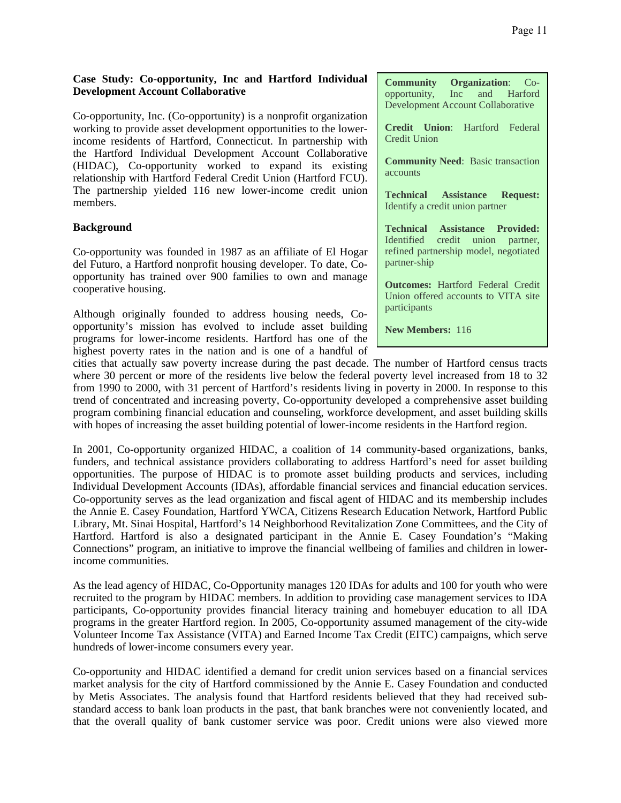### **Case Study: Co-opportunity, Inc and Hartford Individual Development Account Collaborative**

Co-opportunity, Inc. (Co-opportunity) is a nonprofit organization working to provide asset development opportunities to the lowerincome residents of Hartford, Connecticut. In partnership with the Hartford Individual Development Account Collaborative (HIDAC), Co-opportunity worked to expand its existing relationship with Hartford Federal Credit Union (Hartford FCU). The partnership yielded 116 new lower-income credit union members.

# **Background**

Co-opportunity was founded in 1987 as an affiliate of El Hogar del Futuro, a Hartford nonprofit housing developer. To date, Coopportunity has trained over 900 families to own and manage cooperative housing.

Although originally founded to address housing needs, Coopportunity's mission has evolved to include asset building programs for lower-income residents. Hartford has one of the highest poverty rates in the nation and is one of a handful of

**Community Organization**: Coopportunity, Inc and Harford Development Account Collaborative

**Credit Union**: Hartford Federal Credit Union

**Community Need**: Basic transaction accounts

**Technical Assistance Request:**  Identify a credit union partner

**Technical Assistance Provided:**  Identified credit union partner, refined partnership model, negotiated partner-ship

**Outcomes:** Hartford Federal Credit Union offered accounts to VITA site participants

**New Members:** 116

cities that actually saw poverty increase during the past decade. The number of Hartford census tracts where 30 percent or more of the residents live below the federal poverty level increased from 18 to 32 from 1990 to 2000, with 31 percent of Hartford's residents living in poverty in 2000. In response to this trend of concentrated and increasing poverty, Co-opportunity developed a comprehensive asset building program combining financial education and counseling, workforce development, and asset building skills with hopes of increasing the asset building potential of lower-income residents in the Hartford region.

In 2001, Co-opportunity organized HIDAC, a coalition of 14 community-based organizations, banks, funders, and technical assistance providers collaborating to address Hartford's need for asset building opportunities. The purpose of HIDAC is to promote asset building products and services, including Individual Development Accounts (IDAs), affordable financial services and financial education services. Co-opportunity serves as the lead organization and fiscal agent of HIDAC and its membership includes the Annie E. Casey Foundation, Hartford YWCA, Citizens Research Education Network, Hartford Public Library, Mt. Sinai Hospital, Hartford's 14 Neighborhood Revitalization Zone Committees, and the City of Hartford. Hartford is also a designated participant in the Annie E. Casey Foundation's "Making Connections" program, an initiative to improve the financial wellbeing of families and children in lowerincome communities.

As the lead agency of HIDAC, Co-Opportunity manages 120 IDAs for adults and 100 for youth who were recruited to the program by HIDAC members. In addition to providing case management services to IDA participants, Co-opportunity provides financial literacy training and homebuyer education to all IDA programs in the greater Hartford region. In 2005, Co-opportunity assumed management of the city-wide Volunteer Income Tax Assistance (VITA) and Earned Income Tax Credit (EITC) campaigns, which serve hundreds of lower-income consumers every year.

Co-opportunity and HIDAC identified a demand for credit union services based on a financial services market analysis for the city of Hartford commissioned by the Annie E. Casey Foundation and conducted by Metis Associates. The analysis found that Hartford residents believed that they had received substandard access to bank loan products in the past, that bank branches were not conveniently located, and that the overall quality of bank customer service was poor. Credit unions were also viewed more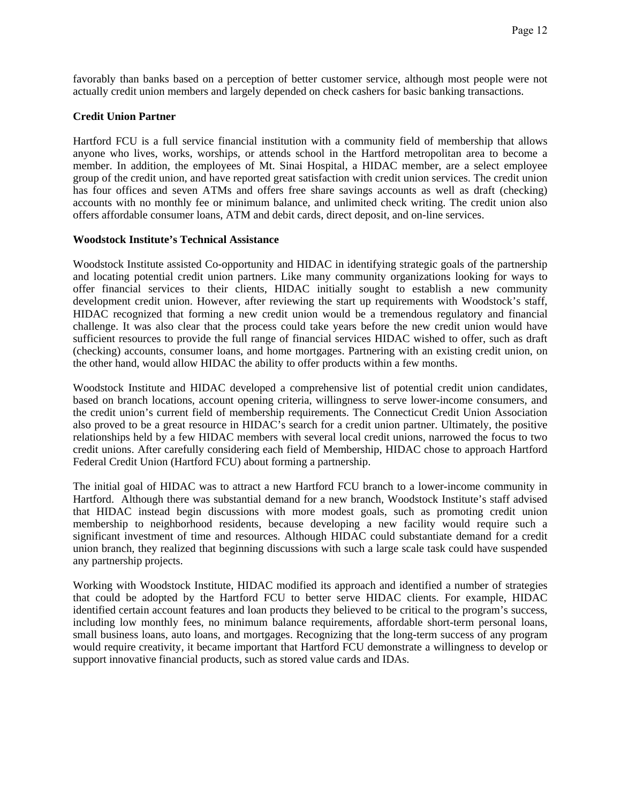favorably than banks based on a perception of better customer service, although most people were not actually credit union members and largely depended on check cashers for basic banking transactions.

# **Credit Union Partner**

Hartford FCU is a full service financial institution with a community field of membership that allows anyone who lives, works, worships, or attends school in the Hartford metropolitan area to become a member. In addition, the employees of Mt. Sinai Hospital, a HIDAC member, are a select employee group of the credit union, and have reported great satisfaction with credit union services. The credit union has four offices and seven ATMs and offers free share savings accounts as well as draft (checking) accounts with no monthly fee or minimum balance, and unlimited check writing. The credit union also offers affordable consumer loans, ATM and debit cards, direct deposit, and on-line services.

### **Woodstock Institute's Technical Assistance**

Woodstock Institute assisted Co-opportunity and HIDAC in identifying strategic goals of the partnership and locating potential credit union partners. Like many community organizations looking for ways to offer financial services to their clients, HIDAC initially sought to establish a new community development credit union. However, after reviewing the start up requirements with Woodstock's staff, HIDAC recognized that forming a new credit union would be a tremendous regulatory and financial challenge. It was also clear that the process could take years before the new credit union would have sufficient resources to provide the full range of financial services HIDAC wished to offer, such as draft (checking) accounts, consumer loans, and home mortgages. Partnering with an existing credit union, on the other hand, would allow HIDAC the ability to offer products within a few months.

Woodstock Institute and HIDAC developed a comprehensive list of potential credit union candidates, based on branch locations, account opening criteria, willingness to serve lower-income consumers, and the credit union's current field of membership requirements. The Connecticut Credit Union Association also proved to be a great resource in HIDAC's search for a credit union partner. Ultimately, the positive relationships held by a few HIDAC members with several local credit unions, narrowed the focus to two credit unions. After carefully considering each field of Membership, HIDAC chose to approach Hartford Federal Credit Union (Hartford FCU) about forming a partnership.

The initial goal of HIDAC was to attract a new Hartford FCU branch to a lower-income community in Hartford. Although there was substantial demand for a new branch, Woodstock Institute's staff advised that HIDAC instead begin discussions with more modest goals, such as promoting credit union membership to neighborhood residents, because developing a new facility would require such a significant investment of time and resources. Although HIDAC could substantiate demand for a credit union branch, they realized that beginning discussions with such a large scale task could have suspended any partnership projects.

Working with Woodstock Institute, HIDAC modified its approach and identified a number of strategies that could be adopted by the Hartford FCU to better serve HIDAC clients. For example, HIDAC identified certain account features and loan products they believed to be critical to the program's success, including low monthly fees, no minimum balance requirements, affordable short-term personal loans, small business loans, auto loans, and mortgages. Recognizing that the long-term success of any program would require creativity, it became important that Hartford FCU demonstrate a willingness to develop or support innovative financial products, such as stored value cards and IDAs.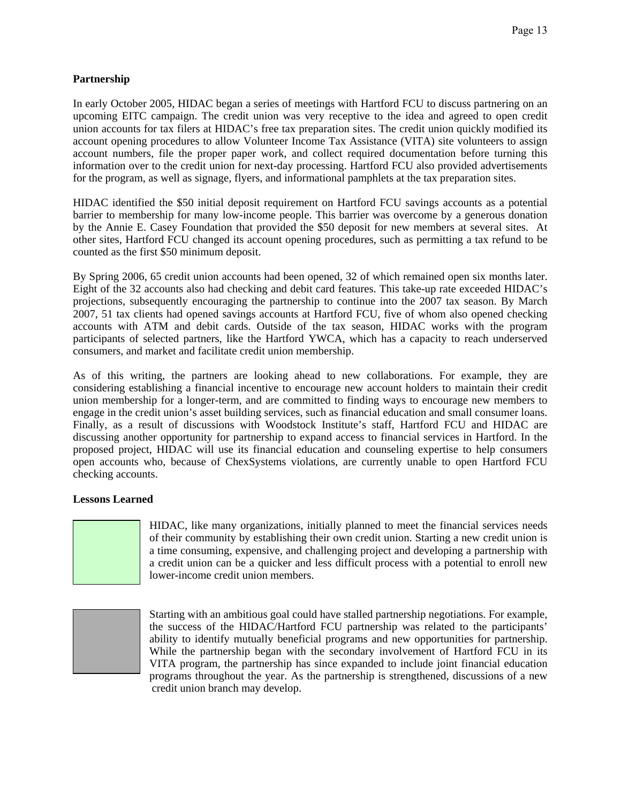# **Partnership**

In early October 2005, HIDAC began a series of meetings with Hartford FCU to discuss partnering on an upcoming EITC campaign. The credit union was very receptive to the idea and agreed to open credit union accounts for tax filers at HIDAC's free tax preparation sites. The credit union quickly modified its account opening procedures to allow Volunteer Income Tax Assistance (VITA) site volunteers to assign account numbers, file the proper paper work, and collect required documentation before turning this information over to the credit union for next-day processing. Hartford FCU also provided advertisements for the program, as well as signage, flyers, and informational pamphlets at the tax preparation sites.

HIDAC identified the \$50 initial deposit requirement on Hartford FCU savings accounts as a potential barrier to membership for many low-income people. This barrier was overcome by a generous donation by the Annie E. Casey Foundation that provided the \$50 deposit for new members at several sites. At other sites, Hartford FCU changed its account opening procedures, such as permitting a tax refund to be counted as the first \$50 minimum deposit.

By Spring 2006, 65 credit union accounts had been opened, 32 of which remained open six months later. Eight of the 32 accounts also had checking and debit card features. This take-up rate exceeded HIDAC's projections, subsequently encouraging the partnership to continue into the 2007 tax season. By March 2007, 51 tax clients had opened savings accounts at Hartford FCU, five of whom also opened checking accounts with ATM and debit cards. Outside of the tax season, HIDAC works with the program participants of selected partners, like the Hartford YWCA, which has a capacity to reach underserved consumers, and market and facilitate credit union membership.

As of this writing, the partners are looking ahead to new collaborations. For example, they are considering establishing a financial incentive to encourage new account holders to maintain their credit union membership for a longer-term, and are committed to finding ways to encourage new members to engage in the credit union's asset building services, such as financial education and small consumer loans. Finally, as a result of discussions with Woodstock Institute's staff, Hartford FCU and HIDAC are discussing another opportunity for partnership to expand access to financial services in Hartford. In the proposed project, HIDAC will use its financial education and counseling expertise to help consumers open accounts who, because of ChexSystems violations, are currently unable to open Hartford FCU checking accounts.

# **Lessons Learned**



HIDAC, like many organizations, initially planned to meet the financial services needs of their community by establishing their own credit union. Starting a new credit union is a time consuming, expensive, and challenging project and developing a partnership with a credit union can be a quicker and less difficult process with a potential to enroll new lower-income credit union members.



Starting with an ambitious goal could have stalled partnership negotiations. For example, the success of the HIDAC/Hartford FCU partnership was related to the participants' ability to identify mutually beneficial programs and new opportunities for partnership. While the partnership began with the secondary involvement of Hartford FCU in its VITA program, the partnership has since expanded to include joint financial education programs throughout the year. As the partnership is strengthened, discussions of a new credit union branch may develop.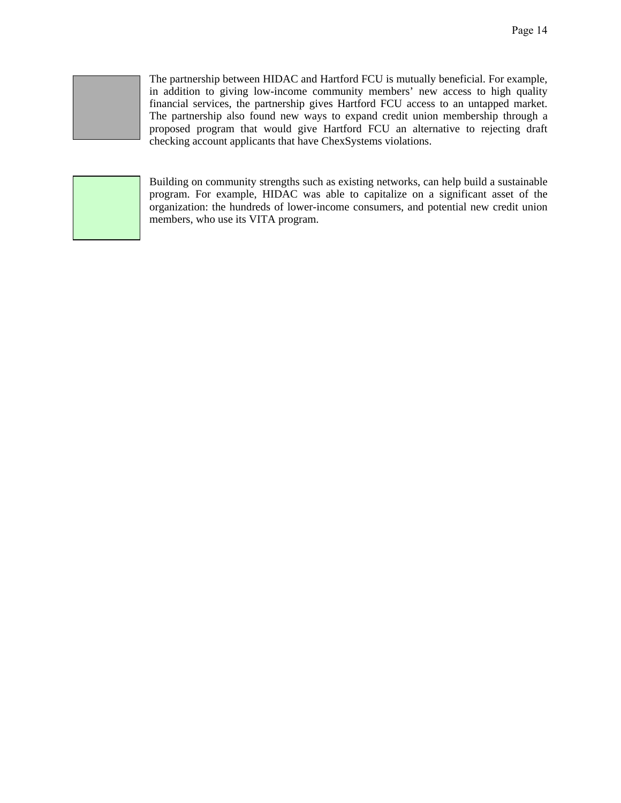# The partnership between HIDAC and Hartford FCU is mutually beneficial. For example, in addition to giving low-income community members' new access to high quality financial services, the partnership gives Hartford FCU access to an untapped market. The partnership also found new ways to expand credit union membership through a proposed program that would give Hartford FCU an alternative to rejecting draft checking account applicants that have ChexSystems violations.

Building on community strengths such as existing networks, can help build a sustainable program. For example, HIDAC was able to capitalize on a significant asset of the organization: the hundreds of lower-income consumers, and potential new credit union members, who use its VITA program.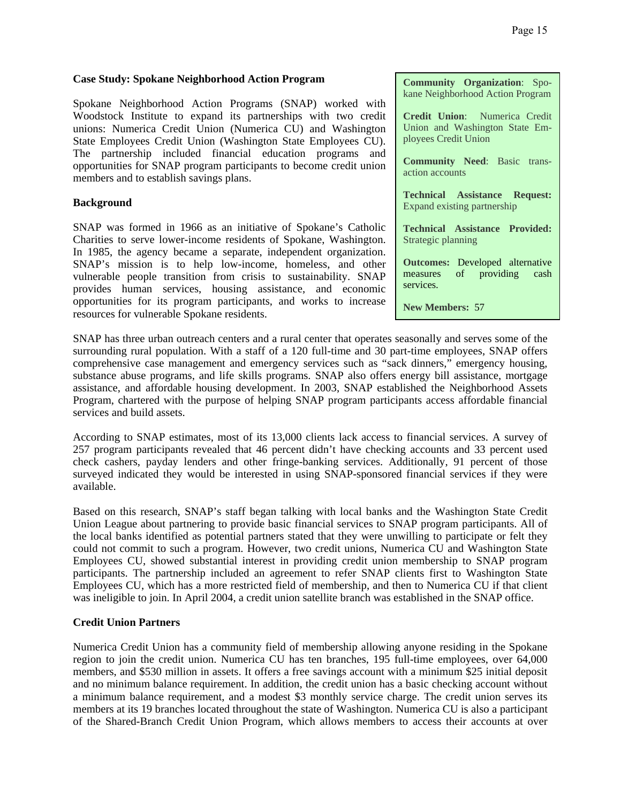# **Case Study: Spokane Neighborhood Action Program**

Spokane Neighborhood Action Programs (SNAP) worked with Woodstock Institute to expand its partnerships with two credit unions: Numerica Credit Union (Numerica CU) and Washington State Employees Credit Union (Washington State Employees CU). The partnership included financial education programs and opportunities for SNAP program participants to become credit union members and to establish savings plans.

# **Background**

SNAP was formed in 1966 as an initiative of Spokane's Catholic Charities to serve lower-income residents of Spokane, Washington. In 1985, the agency became a separate, independent organization. SNAP's mission is to help low-income, homeless, and other vulnerable people transition from crisis to sustainability. SNAP provides human services, housing assistance, and economic opportunities for its program participants, and works to increase resources for vulnerable Spokane residents.

**Community Organization**: Spokane Neighborhood Action Program

**Credit Union**: Numerica Credit Union and Washington State Employees Credit Union

**Community Need**: Basic transaction accounts

**Technical Assistance Request:**  Expand existing partnership

**Technical Assistance Provided:**  Strategic planning

**Outcomes:** Developed alternative measures of providing cash measures of providing cash services.

**New Members:** 57

SNAP has three urban outreach centers and a rural center that operates seasonally and serves some of the surrounding rural population. With a staff of a 120 full-time and 30 part-time employees, SNAP offers comprehensive case management and emergency services such as "sack dinners," emergency housing, substance abuse programs, and life skills programs. SNAP also offers energy bill assistance, mortgage assistance, and affordable housing development. In 2003, SNAP established the Neighborhood Assets Program, chartered with the purpose of helping SNAP program participants access affordable financial services and build assets.

According to SNAP estimates, most of its 13,000 clients lack access to financial services. A survey of 257 program participants revealed that 46 percent didn't have checking accounts and 33 percent used check cashers, payday lenders and other fringe-banking services. Additionally, 91 percent of those surveyed indicated they would be interested in using SNAP-sponsored financial services if they were available.

Based on this research, SNAP's staff began talking with local banks and the Washington State Credit Union League about partnering to provide basic financial services to SNAP program participants. All of the local banks identified as potential partners stated that they were unwilling to participate or felt they could not commit to such a program. However, two credit unions, Numerica CU and Washington State Employees CU, showed substantial interest in providing credit union membership to SNAP program participants. The partnership included an agreement to refer SNAP clients first to Washington State Employees CU, which has a more restricted field of membership, and then to Numerica CU if that client was ineligible to join. In April 2004, a credit union satellite branch was established in the SNAP office.

### **Credit Union Partners**

Numerica Credit Union has a community field of membership allowing anyone residing in the Spokane region to join the credit union. Numerica CU has ten branches, 195 full-time employees, over 64,000 members, and \$530 million in assets. It offers a free savings account with a minimum \$25 initial deposit and no minimum balance requirement. In addition, the credit union has a basic checking account without a minimum balance requirement, and a modest \$3 monthly service charge. The credit union serves its members at its 19 branches located throughout the state of Washington. Numerica CU is also a participant of the Shared-Branch Credit Union Program, which allows members to access their accounts at over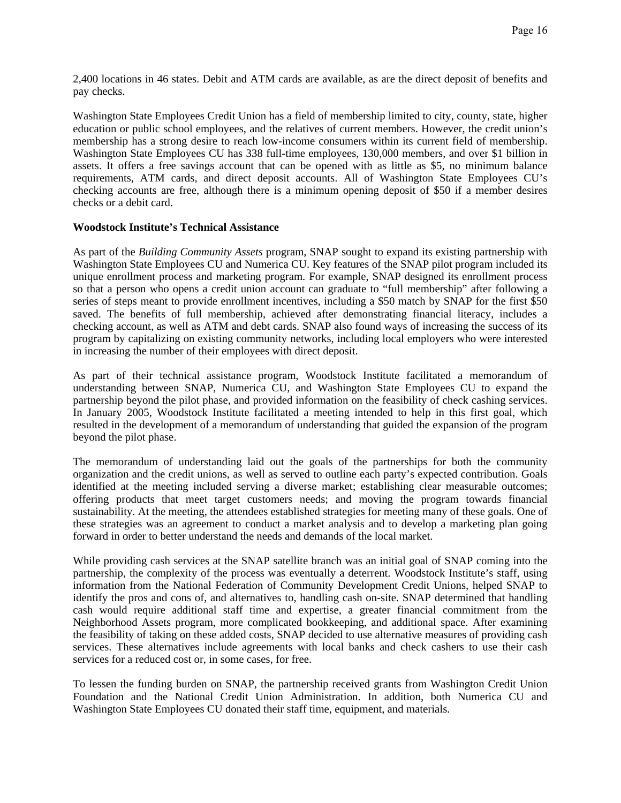2,400 locations in 46 states. Debit and ATM cards are available, as are the direct deposit of benefits and pay checks.

Washington State Employees Credit Union has a field of membership limited to city, county, state, higher education or public school employees, and the relatives of current members. However, the credit union's membership has a strong desire to reach low-income consumers within its current field of membership. Washington State Employees CU has 338 full-time employees, 130,000 members, and over \$1 billion in assets. It offers a free savings account that can be opened with as little as \$5, no minimum balance requirements, ATM cards, and direct deposit accounts. All of Washington State Employees CU's checking accounts are free, although there is a minimum opening deposit of \$50 if a member desires checks or a debit card.

#### **Woodstock Institute's Technical Assistance**

As part of the *Building Community Assets* program, SNAP sought to expand its existing partnership with Washington State Employees CU and Numerica CU. Key features of the SNAP pilot program included its unique enrollment process and marketing program. For example, SNAP designed its enrollment process so that a person who opens a credit union account can graduate to "full membership" after following a series of steps meant to provide enrollment incentives, including a \$50 match by SNAP for the first \$50 saved. The benefits of full membership, achieved after demonstrating financial literacy, includes a checking account, as well as ATM and debt cards. SNAP also found ways of increasing the success of its program by capitalizing on existing community networks, including local employers who were interested in increasing the number of their employees with direct deposit.

As part of their technical assistance program, Woodstock Institute facilitated a memorandum of understanding between SNAP, Numerica CU, and Washington State Employees CU to expand the partnership beyond the pilot phase, and provided information on the feasibility of check cashing services. In January 2005, Woodstock Institute facilitated a meeting intended to help in this first goal, which resulted in the development of a memorandum of understanding that guided the expansion of the program beyond the pilot phase.

The memorandum of understanding laid out the goals of the partnerships for both the community organization and the credit unions, as well as served to outline each party's expected contribution. Goals identified at the meeting included serving a diverse market; establishing clear measurable outcomes; offering products that meet target customers needs; and moving the program towards financial sustainability. At the meeting, the attendees established strategies for meeting many of these goals. One of these strategies was an agreement to conduct a market analysis and to develop a marketing plan going forward in order to better understand the needs and demands of the local market.

While providing cash services at the SNAP satellite branch was an initial goal of SNAP coming into the partnership, the complexity of the process was eventually a deterrent. Woodstock Institute's staff, using information from the National Federation of Community Development Credit Unions, helped SNAP to identify the pros and cons of, and alternatives to, handling cash on-site. SNAP determined that handling cash would require additional staff time and expertise, a greater financial commitment from the Neighborhood Assets program, more complicated bookkeeping, and additional space. After examining the feasibility of taking on these added costs, SNAP decided to use alternative measures of providing cash services. These alternatives include agreements with local banks and check cashers to use their cash services for a reduced cost or, in some cases, for free.

To lessen the funding burden on SNAP, the partnership received grants from Washington Credit Union Foundation and the National Credit Union Administration. In addition, both Numerica CU and Washington State Employees CU donated their staff time, equipment, and materials.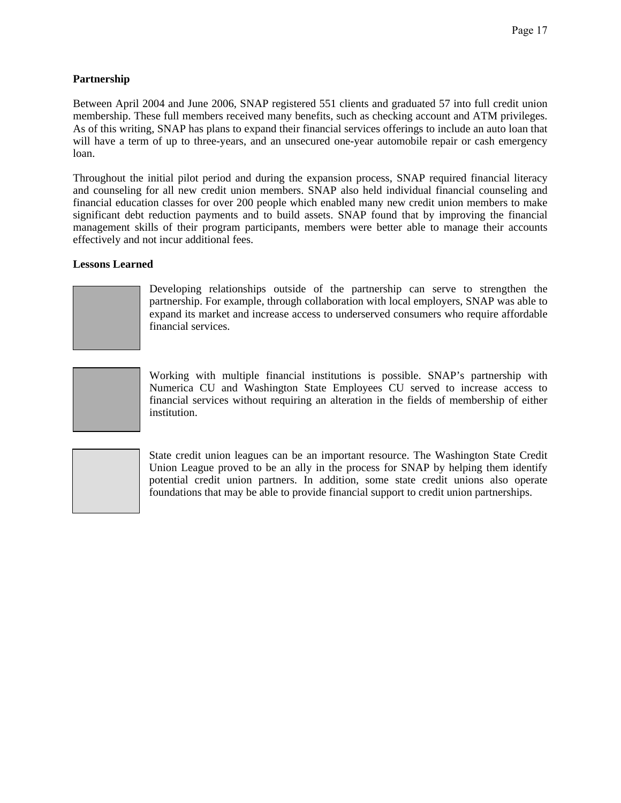# **Partnership**

Between April 2004 and June 2006, SNAP registered 551 clients and graduated 57 into full credit union membership. These full members received many benefits, such as checking account and ATM privileges. As of this writing, SNAP has plans to expand their financial services offerings to include an auto loan that will have a term of up to three-years, and an unsecured one-year automobile repair or cash emergency loan.

Throughout the initial pilot period and during the expansion process, SNAP required financial literacy and counseling for all new credit union members. SNAP also held individual financial counseling and financial education classes for over 200 people which enabled many new credit union members to make significant debt reduction payments and to build assets. SNAP found that by improving the financial management skills of their program participants, members were better able to manage their accounts effectively and not incur additional fees.

# **Lessons Learned**



Developing relationships outside of the partnership can serve to strengthen the partnership. For example, through collaboration with local employers, SNAP was able to expand its market and increase access to underserved consumers who require affordable financial services.

Working with multiple financial institutions is possible. SNAP's partnership with Numerica CU and Washington State Employees CU served to increase access to financial services without requiring an alteration in the fields of membership of either institution.



State credit union leagues can be an important resource. The Washington State Credit Union League proved to be an ally in the process for SNAP by helping them identify potential credit union partners. In addition, some state credit unions also operate foundations that may be able to provide financial support to credit union partnerships.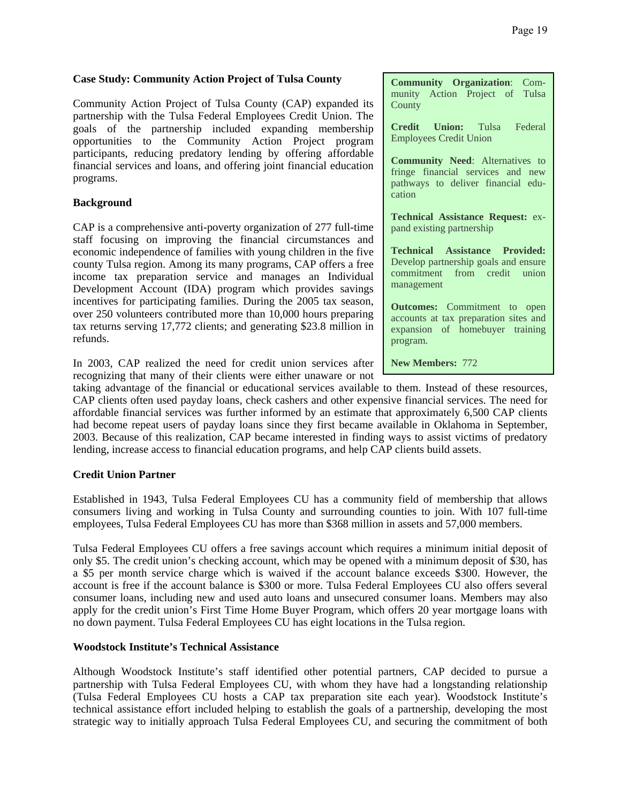# **Case Study: Community Action Project of Tulsa County**

Community Action Project of Tulsa County (CAP) expanded its partnership with the Tulsa Federal Employees Credit Union. The goals of the partnership included expanding membership opportunities to the Community Action Project program participants, reducing predatory lending by offering affordable financial services and loans, and offering joint financial education programs.

# **Background**

CAP is a comprehensive anti-poverty organization of 277 full-time staff focusing on improving the financial circumstances and economic independence of families with young children in the five county Tulsa region. Among its many programs, CAP offers a free income tax preparation service and manages an Individual Development Account (IDA) program which provides savings incentives for participating families. During the 2005 tax season, over 250 volunteers contributed more than 10,000 hours preparing tax returns serving 17,772 clients; and generating \$23.8 million in refunds.

In 2003, CAP realized the need for credit union services after recognizing that many of their clients were either unaware or not **Community Organization**: Community Action Project of Tulsa **County** 

**Credit Union:** Tulsa Federal Employees Credit Union

**Community Need**: Alternatives to fringe financial services and new pathways to deliver financial education

**Technical Assistance Request:** expand existing partnership

**Technical Assistance Provided:**  Develop partnership goals and ensure commitment from credit union management

**Outcomes:** Commitment to open accounts at tax preparation sites and expansion of homebuyer training program.

**New Members:** 772

taking advantage of the financial or educational services available to them. Instead of these resources, CAP clients often used payday loans, check cashers and other expensive financial services. The need for affordable financial services was further informed by an estimate that approximately 6,500 CAP clients had become repeat users of payday loans since they first became available in Oklahoma in September, 2003. Because of this realization, CAP became interested in finding ways to assist victims of predatory lending, increase access to financial education programs, and help CAP clients build assets.

# **Credit Union Partner**

Established in 1943, Tulsa Federal Employees CU has a community field of membership that allows consumers living and working in Tulsa County and surrounding counties to join. With 107 full-time employees, Tulsa Federal Employees CU has more than \$368 million in assets and 57,000 members.

Tulsa Federal Employees CU offers a free savings account which requires a minimum initial deposit of only \$5. The credit union's checking account, which may be opened with a minimum deposit of \$30, has a \$5 per month service charge which is waived if the account balance exceeds \$300. However, the account is free if the account balance is \$300 or more. Tulsa Federal Employees CU also offers several consumer loans, including new and used auto loans and unsecured consumer loans. Members may also apply for the credit union's First Time Home Buyer Program, which offers 20 year mortgage loans with no down payment. Tulsa Federal Employees CU has eight locations in the Tulsa region.

# **Woodstock Institute's Technical Assistance**

Although Woodstock Institute's staff identified other potential partners, CAP decided to pursue a partnership with Tulsa Federal Employees CU, with whom they have had a longstanding relationship (Tulsa Federal Employees CU hosts a CAP tax preparation site each year). Woodstock Institute's technical assistance effort included helping to establish the goals of a partnership, developing the most strategic way to initially approach Tulsa Federal Employees CU, and securing the commitment of both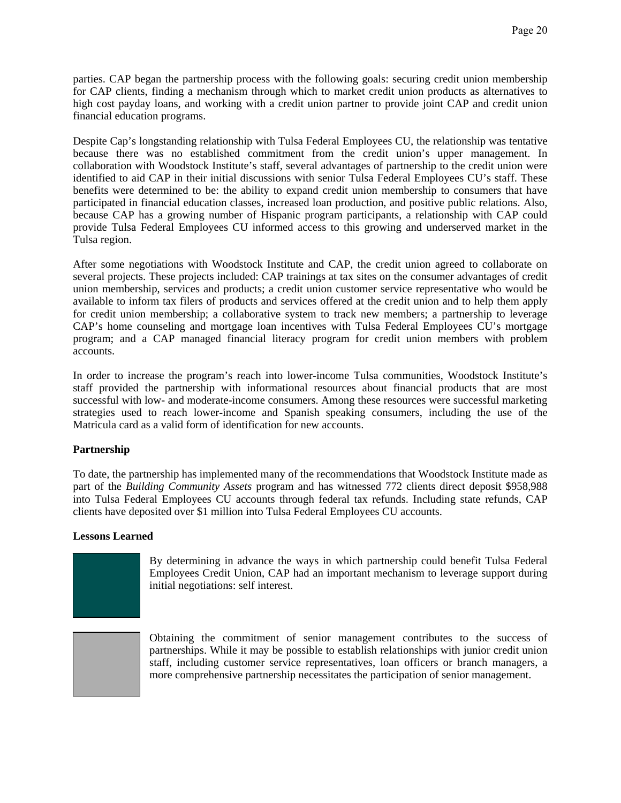parties. CAP began the partnership process with the following goals: securing credit union membership for CAP clients, finding a mechanism through which to market credit union products as alternatives to high cost payday loans, and working with a credit union partner to provide joint CAP and credit union financial education programs.

Despite Cap's longstanding relationship with Tulsa Federal Employees CU, the relationship was tentative because there was no established commitment from the credit union's upper management. In collaboration with Woodstock Institute's staff, several advantages of partnership to the credit union were identified to aid CAP in their initial discussions with senior Tulsa Federal Employees CU's staff. These benefits were determined to be: the ability to expand credit union membership to consumers that have participated in financial education classes, increased loan production, and positive public relations. Also, because CAP has a growing number of Hispanic program participants, a relationship with CAP could provide Tulsa Federal Employees CU informed access to this growing and underserved market in the Tulsa region.

After some negotiations with Woodstock Institute and CAP, the credit union agreed to collaborate on several projects. These projects included: CAP trainings at tax sites on the consumer advantages of credit union membership, services and products; a credit union customer service representative who would be available to inform tax filers of products and services offered at the credit union and to help them apply for credit union membership; a collaborative system to track new members; a partnership to leverage CAP's home counseling and mortgage loan incentives with Tulsa Federal Employees CU's mortgage program; and a CAP managed financial literacy program for credit union members with problem accounts.

In order to increase the program's reach into lower-income Tulsa communities, Woodstock Institute's staff provided the partnership with informational resources about financial products that are most successful with low- and moderate-income consumers. Among these resources were successful marketing strategies used to reach lower-income and Spanish speaking consumers, including the use of the Matricula card as a valid form of identification for new accounts.

# **Partnership**

To date, the partnership has implemented many of the recommendations that Woodstock Institute made as part of the *Building Community Assets* program and has witnessed 772 clients direct deposit \$958,988 into Tulsa Federal Employees CU accounts through federal tax refunds. Including state refunds, CAP clients have deposited over \$1 million into Tulsa Federal Employees CU accounts.

### **Lessons Learned**



By determining in advance the ways in which partnership could benefit Tulsa Federal Employees Credit Union, CAP had an important mechanism to leverage support during initial negotiations: self interest.



Obtaining the commitment of senior management contributes to the success of partnerships. While it may be possible to establish relationships with junior credit union staff, including customer service representatives, loan officers or branch managers, a more comprehensive partnership necessitates the participation of senior management.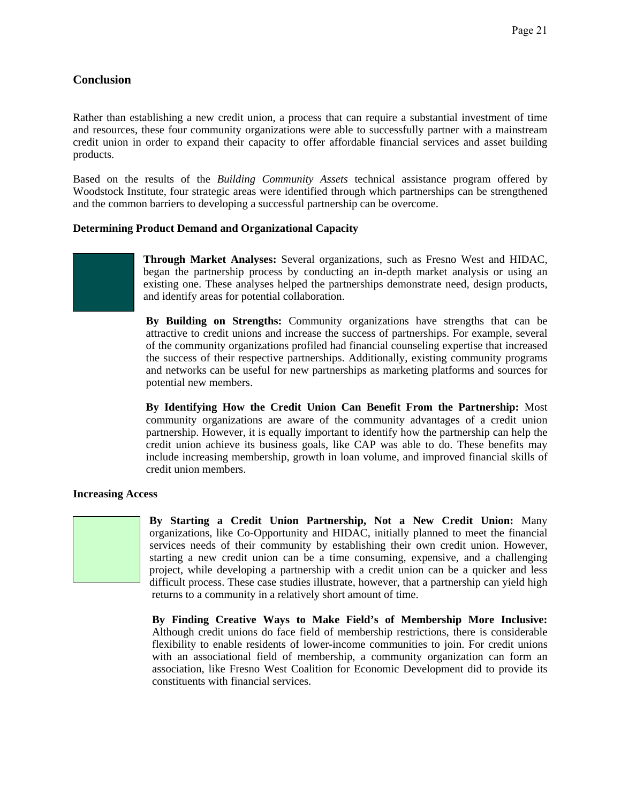# **Conclusion**

Rather than establishing a new credit union, a process that can require a substantial investment of time and resources, these four community organizations were able to successfully partner with a mainstream credit union in order to expand their capacity to offer affordable financial services and asset building products.

Based on the results of the *Building Community Assets* technical assistance program offered by Woodstock Institute, four strategic areas were identified through which partnerships can be strengthened and the common barriers to developing a successful partnership can be overcome.

# **Determining Product Demand and Organizational Capacity**

**Through Market Analyses:** Several organizations, such as Fresno West and HIDAC, began the partnership process by conducting an in-depth market analysis or using an existing one. These analyses helped the partnerships demonstrate need, design products, and identify areas for potential collaboration.

**By Building on Strengths:** Community organizations have strengths that can be attractive to credit unions and increase the success of partnerships. For example, several of the community organizations profiled had financial counseling expertise that increased the success of their respective partnerships. Additionally, existing community programs and networks can be useful for new partnerships as marketing platforms and sources for potential new members.

**By Identifying How the Credit Union Can Benefit From the Partnership:** Most community organizations are aware of the community advantages of a credit union partnership. However, it is equally important to identify how the partnership can help the credit union achieve its business goals, like CAP was able to do. These benefits may include increasing membership, growth in loan volume, and improved financial skills of credit union members.

# **Increasing Access**



**By Starting a Credit Union Partnership, Not a New Credit Union:** Many organizations, like Co-Opportunity and HIDAC, initially planned to meet the financial services needs of their community by establishing their own credit union. However, starting a new credit union can be a time consuming, expensive, and a challenging project, while developing a partnership with a credit union can be a quicker and less difficult process. These case studies illustrate, however, that a partnership can yield high returns to a community in a relatively short amount of time.

**By Finding Creative Ways to Make Field's of Membership More Inclusive:**  Although credit unions do face field of membership restrictions, there is considerable flexibility to enable residents of lower-income communities to join. For credit unions with an associational field of membership, a community organization can form an association, like Fresno West Coalition for Economic Development did to provide its constituents with financial services.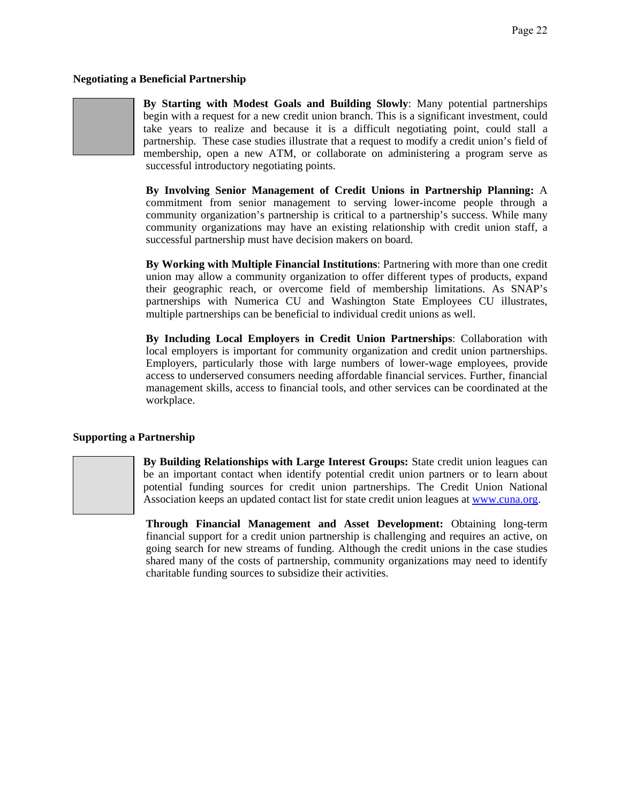#### **Negotiating a Beneficial Partnership**

**By Starting with Modest Goals and Building Slowly**: Many potential partnerships begin with a request for a new credit union branch. This is a significant investment, could take years to realize and because it is a difficult negotiating point, could stall a partnership. These case studies illustrate that a request to modify a credit union's field of membership, open a new ATM, or collaborate on administering a program serve as successful introductory negotiating points.

**By Involving Senior Management of Credit Unions in Partnership Planning:** A commitment from senior management to serving lower-income people through a community organization's partnership is critical to a partnership's success. While many community organizations may have an existing relationship with credit union staff, a successful partnership must have decision makers on board.

**By Working with Multiple Financial Institutions**: Partnering with more than one credit union may allow a community organization to offer different types of products, expand their geographic reach, or overcome field of membership limitations. As SNAP's partnerships with Numerica CU and Washington State Employees CU illustrates, multiple partnerships can be beneficial to individual credit unions as well.

**By Including Local Employers in Credit Union Partnerships**: Collaboration with local employers is important for community organization and credit union partnerships. Employers, particularly those with large numbers of lower-wage employees, provide access to underserved consumers needing affordable financial services. Further, financial management skills, access to financial tools, and other services can be coordinated at the workplace.

### **Supporting a Partnership**

**By Building Relationships with Large Interest Groups:** State credit union leagues can be an important contact when identify potential credit union partners or to learn about potential funding sources for credit union partnerships. The Credit Union National Association keeps an updated contact list for state credit union leagues at www.cuna.org.

**Through Financial Management and Asset Development:** Obtaining long-term financial support for a credit union partnership is challenging and requires an active, on going search for new streams of funding. Although the credit unions in the case studies shared many of the costs of partnership, community organizations may need to identify charitable funding sources to subsidize their activities.